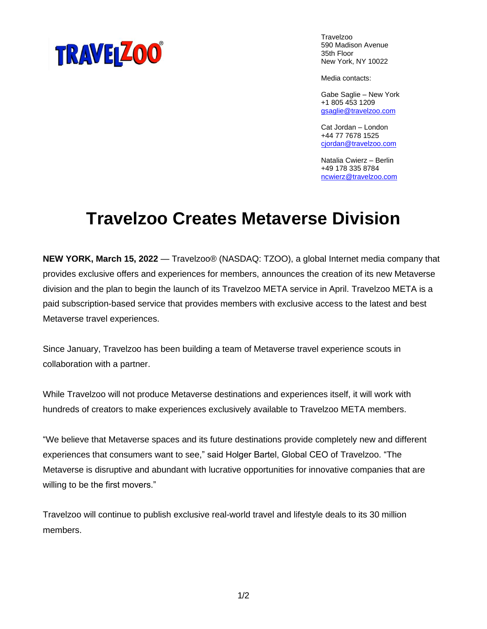

**Travelzoo** 590 Madison Avenue 35th Floor New York, NY 10022

Media contacts:

Gabe Saglie – New York +1 805 453 1209 [gsaglie@travelzoo.com](mailto:gsaglie@travelzoo.com)

Cat Jordan – London +44 77 7678 1525 [cjordan@travelzoo.com](mailto:rsaran@travelzoo.com)

Natalia Cwierz – Berlin +49 178 335 8784 [ncwierz@travelzoo.com](mailto:ncwierz@travelzoo.com)

## **Travelzoo Creates Metaverse Division**

**NEW YORK, March 15, 2022** — Travelzoo® (NASDAQ: TZOO), a global Internet media company that provides exclusive offers and experiences for members, announces the creation of its new Metaverse division and the plan to begin the launch of its Travelzoo META service in April. Travelzoo META is a paid subscription-based service that provides members with exclusive access to the latest and best Metaverse travel experiences.

Since January, Travelzoo has been building a team of Metaverse travel experience scouts in collaboration with a partner.

While Travelzoo will not produce Metaverse destinations and experiences itself, it will work with hundreds of creators to make experiences exclusively available to Travelzoo META members.

"We believe that Metaverse spaces and its future destinations provide completely new and different experiences that consumers want to see," said Holger Bartel, Global CEO of Travelzoo. "The Metaverse is disruptive and abundant with lucrative opportunities for innovative companies that are willing to be the first movers."

Travelzoo will continue to publish exclusive real-world travel and lifestyle deals to its 30 million members.